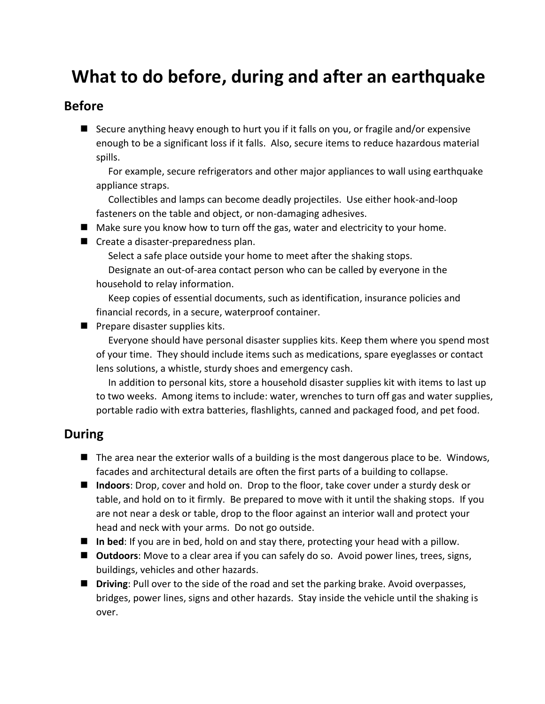# **What to do before, during and after an earthquake**

#### **Before**

■ Secure anything heavy enough to hurt you if it falls on you, or fragile and/or expensive enough to be a significant loss if it falls. Also, secure items to reduce hazardous material spills.

For example, secure refrigerators and other major appliances to wall using earthquake appliance straps.

Collectibles and lamps can become deadly projectiles. Use either hook-and-loop fasteners on the table and object, or non-damaging adhesives.

- Make sure you know how to turn off the gas, water and electricity to your home.
- Create a disaster-preparedness plan.

Select a safe place outside your home to meet after the shaking stops.

Designate an out-of-area contact person who can be called by everyone in the household to relay information.

Keep copies of essential documents, such as identification, insurance policies and financial records, in a secure, waterproof container.

■ Prepare disaster supplies kits.

Everyone should have personal disaster supplies kits. Keep them where you spend most of your time. They should include items such as medications, spare eyeglasses or contact lens solutions, a whistle, sturdy shoes and emergency cash.

In addition to personal kits, store a household disaster supplies kit with items to last up to two weeks. Among items to include: water, wrenches to turn off gas and water supplies, portable radio with extra batteries, flashlights, canned and packaged food, and pet food.

#### **During**

- The area near the exterior walls of a building is the most dangerous place to be. Windows, facades and architectural details are often the first parts of a building to collapse.
- Indoors: Drop, cover and hold on. Drop to the floor, take cover under a sturdy desk or table, and hold on to it firmly. Be prepared to move with it until the shaking stops. If you are not near a desk or table, drop to the floor against an interior wall and protect your head and neck with your arms. Do not go outside.
- In bed: If you are in bed, hold on and stay there, protecting your head with a pillow.
- **Outdoors**: Move to a clear area if you can safely do so. Avoid power lines, trees, signs, buildings, vehicles and other hazards.
- Driving: Pull over to the side of the road and set the parking brake. Avoid overpasses, bridges, power lines, signs and other hazards. Stay inside the vehicle until the shaking is over.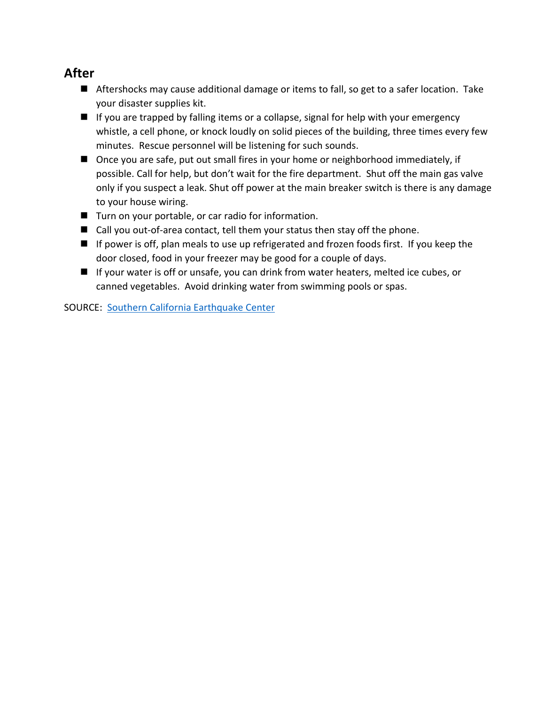#### **After**

- Aftershocks may cause additional damage or items to fall, so get to a safer location. Take your disaster supplies kit.
- If you are trapped by falling items or a collapse, signal for help with your emergency whistle, a cell phone, or knock loudly on solid pieces of the building, three times every few minutes. Rescue personnel will be listening for such sounds.
- Once you are safe, put out small fires in your home or neighborhood immediately, if possible. Call for help, but don't wait for the fire department. Shut off the main gas valve only if you suspect a leak. Shut off power at the main breaker switch is there is any damage to your house wiring.
- Turn on your portable, or car radio for information.
- Call you out-of-area contact, tell them your status then stay off the phone.
- If power is off, plan meals to use up refrigerated and frozen foods first. If you keep the door closed, food in your freezer may be good for a couple of days.
- If your water is off or unsafe, you can drink from water heaters, melted ice cubes, or canned vegetables. Avoid drinking water from swimming pools or spas.

SOURCE: [Southern California Earthquake Center](https://www.scec.org/)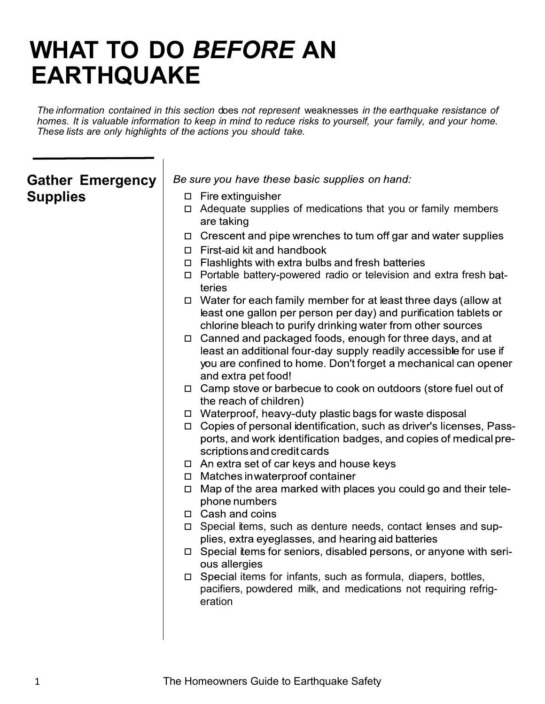# **WHAT TO DO** *BEFORE* **AN EARTHQUAKE**

*The information contained in this section* does *not represent* weaknesses *in the earthquake resistance of* homes. It is valuable information to keep in mind to reduce risks to yourself, your family, and your home. *These lists are only highlights of the actions you should take.*

### **Gather Emergency Supplies**

Be sure you have these basic supplies on hand:

- $\Box$  Fire extinguisher
- Adequate supplies of medications that you or family members are taking
- □ Crescent and pipe wrenches to tum off gar and water supplies
- $\Box$  First-aid kit and handbook
- $\Box$  Flashlights with extra bulbs and fresh batteries
- $\Box$  Portable battery-powered radio or television and extra fresh batteries
- $\Box$  Water for each family member for at least three days (allow at least one gallon per person per day) and purification tablets or chlorine bleach to purify drinking water from other sources
- □ Canned and packaged foods, enough for three days, and at least an additional four-day supply readily accessible for use if you are confined to home. Don't forget a mechanical can opener and extra pet food!
- □ Camp stove or barbecue to cook on outdoors (store fuel out of the reach of children)
- $\Box$  Waterproof, heavy-duty plastic bags for waste disposal
- □ Copies of personal identification, such as driver's licenses, Passports, and work identification badges, and copies of medical prescriptions and credit cards
- □ An extra set of car keys and house keys
- □ Matches in waterproof container
- $\Box$  Map of the area marked with places you could go and their telephone numbers
- □ Cash and coins
- □ Special items, such as denture needs, contact lenses and supplies, extra eyeglasses, and hearing aid batteries
- □ Special items for seniors, disabled persons, or anyone with serious allergies
- $\Box$  Special items for infants, such as formula, diapers, bottles, pacifiers, powdered milk, and medications not requiring refrigeration